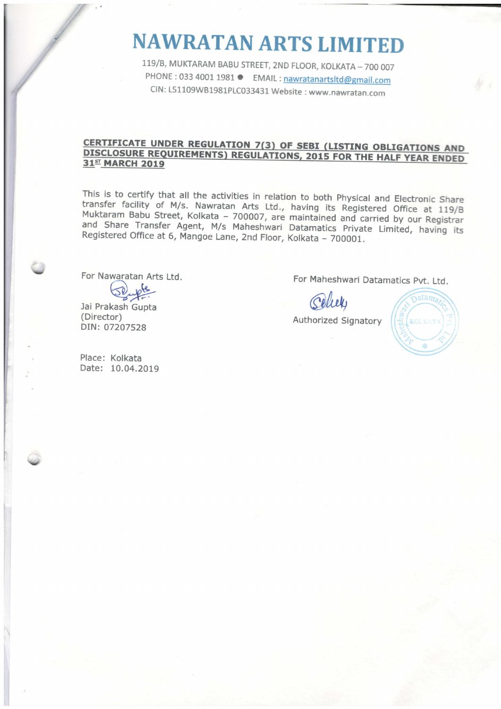## NAWRATANARTS LIMITED

119/B, MUKTARAM BABU STREET, 2ND FLOOR, KOLKATA - 700 007 PHONE : 033 4001 1981 ● EMAIL : nawratanartsltd@gmail.com clN : L51109w81981p1C033431 website : www.nawratan.com

## CERTIFICATE UNDER REGULATION 7(3) OF SEBI (LISTING OBLIGATIONS AND DISCLOSURE REQUIREMENTS) REGULATIONS, 2015 FOR THE HALF YEAR ENDED 31<sup>st</sup> MARCH 2019

This is to certify that all the activities in relation to both Physical and Electronic Share<br>transfer facility of M/s. Nawratan Arts Ltd., having its Registered Office at 119/B<br>Muktaram Babu Street, Kolkata – 700007, are m

For Nawaratan Arts Ltd.

Jai Prakash Gupta (Director) DIN: 07207528

Place: Kolkata Date: 10.04.2019 For Maheshwari Datamatics pvt. Ltd.

Celier

Authorized Signatory